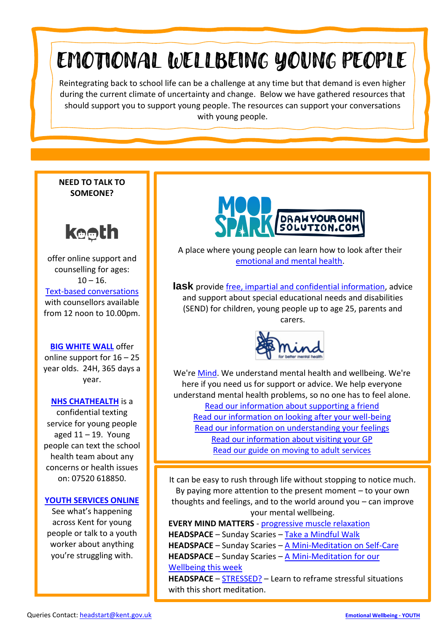# EMOTIONAL WELLBEING YOUNG PEOPLE

Reintegrating back to school life can be a challenge at any time but that demand is even higher during the current climate of uncertainty and change. Below we have gathered resources that should support you to support young people. The resources can support your conversations with young people.

**NEED TO TALK TO SOMEONE?**



offer online support and counselling for ages:  $10 - 16$ . [Text-based conversations](https://www.kooth.com/index.php) with counsellors available from 12 noon to 10.00pm.

**[BIG WHITE WALL](https://www.bigwhitewall.com/)** offer online support for 16 – 25 year olds. 24H, 365 days a year.

### **[NHS CHATHEALTH](https://www.kentcht.nhs.uk/service/school-health/chathealth/)** is a

confidential texting service for young people aged  $11 - 19$ . Young people can text the school health team about any concerns or health issues on: 07520 618850.

### **[YOUTH SERVICES ONLINE](https://www.kent.gov.uk/education-and-children/young-people/online-youth-services)**

See what's happening across Kent for young people or talk to a youth worker about anything you're struggling with.



A place where young people can learn how to look after their [emotional and mental health.](https://moodspark.org.uk/)

**lask** provide [free, impartial and confidential information,](https://www.iask.org.uk/young-people/) advice and support about special educational needs and disabilities (SEND) for children, young people up to age 25, parents and carers.



We're [Mind.](https://www.mind.org.uk/information-support/for-children-and-young-people/) We understand mental health and wellbeing. We're here if you need us for support or advice. We help everyone understand mental health problems, so no one has to feel alone. [Read our information about supporting a friend](https://www.mind.org.uk/information-support/for-children-and-young-people/how-to-support-a-friend/) [Read our information on looking after your well-being](https://www.mind.org.uk/information-support/for-children-and-young-people/looking-after-your-wellbeing/) [Read our information on understanding your feelings](https://www.mind.org.uk/information-support/for-children-and-young-people/understanding-my-feelings/) [Read our information about visiting your GP](https://www.mind.org.uk/information-support/for-children-and-young-people/visiting-your-doctor/) Read our [guide on moving to adult services](https://www.mind.org.uk/information-support/for-children-and-young-people/moving-to-adult-services/)

It can be easy to rush through life without stopping to notice much. By paying more attention to the present moment – to your own thoughts and feelings, and to the world around you – can improve your mental wellbeing.

**EVERY MIND MATTERS** - [progressive muscle relaxation](https://youtu.be/9GURt2pvdAg) **HEADSPACE** – Sunday Scaries – [Take a Mindful Walk](https://youtu.be/AwbRERIzt6c) **HEADSPACE** – Sunday Scaries – [A Mini-Meditation on Self-Care](https://youtu.be/sSSyvmBCTj8) **HEADSPACE** – Sunday Scaries – A [Mini-Meditation for our](https://youtu.be/uNHLhHyjbd0)  [Wellbeing this week](https://youtu.be/uNHLhHyjbd0)

**HEADSPACE** – [STRESSED?](https://youtu.be/sG7DBA-mgFY) – Learn to reframe stressful situations with this short meditation.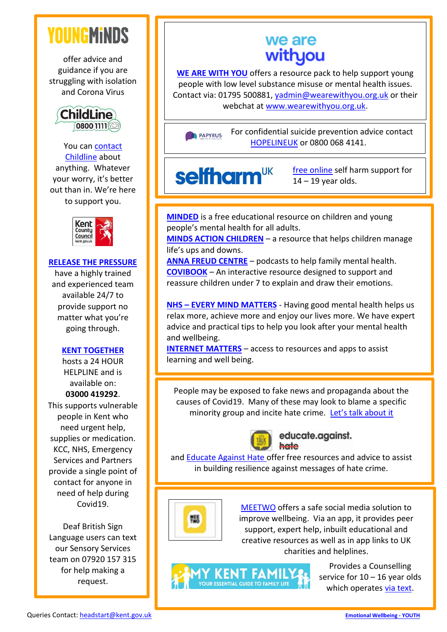## **YOUNGMINDS**

offer advice and guidance if you are struggling with isolation and Corona Virus



### You can [contact](https://www.childline.org.uk/)  [Childline](https://www.childline.org.uk/) about

anything. Whatever your worry, it's better out than in. We're here to support you.



### **[RELEASE THE PRESSURE](https://www.kent.gov.uk/social-care-and-health/health/release-the-pressure)**

have a highly trained and experienced team available 24/7 to provide support no matter what you're going through.

### **[KENT TOGETHER](https://www.kent.gov.uk/social-care-and-health/health/coronavirus/kent-together)**

hosts a 24 HOUR HELPLINE and is available on: **03000 419292**. This supports vulnerable people in Kent who need urgent help, supplies or medication. KCC, NHS, Emergency Services and Partners provide a single point of contact for anyone in need of help during Covid19.

Deaf British Sign Language users can text our Sensory Services team on 07920 157 315 for help making a request.

### we are withyou

**[WE ARE WITH YOU](https://www.wearewithyou.org.uk/)** offers a resource pack to help support young people with low level substance misuse or mental health issues. Contact via: 01795 500881, [yadmin@wearewithyou.org.uk](mailto:yadmin@wearewithyou.org.uk) or their webchat at [www.wearewithyou.org.uk.](http://www.wearewithyou.org.uk/)

For confidential suicide prevention advice contact PAPYRUS [HOPELINEUK](https://papyrus-uk.org/) or 0800 068 4141.

## **selfharm**<sup>UK</sup>

[free online](https://www.selfharm.co.uk/) self harm support for  $14 - 19$  year olds.

**[MINDED](https://www.minded.org.uk/)** is a free educational resource on children and young people's mental health for all adults.

**[MINDS ACTION CHILDREN](https://minds.actionforchildren.org.uk/)** – a resource that helps children manage life's ups and downs.

**[ANNA FREUD CENTRE](https://www.annafreud.org/insights/news/2016/08/ground-breaking-podcast-series-launched/)** – podcasts to help family mental health. **[COVIBOOK](https://www.mindheart.co/descargables)** – An interactive resource designed to support and reassure children under 7 to explain and draw their emotions.

**NHS – [EVERY MIND MATTERS](https://www.nhs.uk/oneyou/every-mind-matters/)** - Having good mental health helps us relax more, achieve more and enjoy our lives more. We have expert advice and practical tips to help you look after your mental health and wellbeing.

**[INTERNET MATTERS](https://www.internetmatters.org/)** – access to resources and apps to assist learning and well being.

People may be exposed to fake news and propaganda about the causes of Covid19. Many of these may look to blame a specific minority group and incite hate crime. [Let's talk about it](https://www.ltai.info/)



#### educate.against. hate

and [Educate Against Hate o](https://educateagainsthate.com/)ffer free resources and advice to assist in building resilience against messages of hate crime.



[MEETWO](https://www.meetwo.co.uk/) offers a safe social media solution to improve wellbeing. Via an app, it provides peer support, expert help, inbuilt educational and creative resources as well as in app links to UK charities and helplines.



Provides a Counselling service for  $10 - 16$  year olds which operates [via text.](https://www.mykentfamily.co.uk/teens/free-text-based-counselling-for-youngsters-227181/)